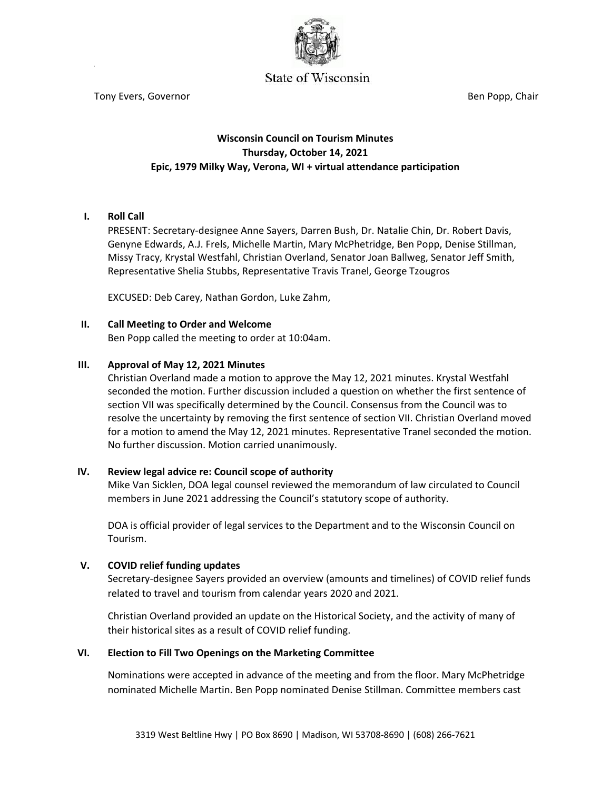

# $\mathbf{C}$ tony  $\mathbf{C}$

Tony Evers, Governor **Ben Popp, Chair** Ben Popp, Chair Ben Popp, Chair

# **Wisconsin Council on Tourism Minutes Thursday, October 14, 2021 Epic, 1979 Milky Way, Verona, WI + virtual attendance participation**

# **I. Roll Call**

PRESENT: Secretary-designee Anne Sayers, Darren Bush, Dr. Natalie Chin, Dr. Robert Davis, Genyne Edwards, A.J. Frels, Michelle Martin, Mary McPhetridge, Ben Popp, Denise Stillman, Missy Tracy, Krystal Westfahl, Christian Overland, Senator Joan Ballweg, Senator Jeff Smith, Representative Shelia Stubbs, Representative Travis Tranel, George Tzougros

EXCUSED: Deb Carey, Nathan Gordon, Luke Zahm,

#### **II. Call Meeting to Order and Welcome**

Ben Popp called the meeting to order at 10:04am.

#### **III. Approval of May 12, 2021 Minutes**

Christian Overland made a motion to approve the May 12, 2021 minutes. Krystal Westfahl seconded the motion. Further discussion included a question on whether the first sentence of section VII was specifically determined by the Council. Consensus from the Council was to resolve the uncertainty by removing the first sentence of section VII. Christian Overland moved for a motion to amend the May 12, 2021 minutes. Representative Tranel seconded the motion. No further discussion. Motion carried unanimously.

#### **IV. Review legal advice re: Council scope of authority**

Mike Van Sicklen, DOA legal counsel reviewed the memorandum of law circulated to Council members in June 2021 addressing the Council's statutory scope of authority.

DOA is official provider of legal services to the Department and to the Wisconsin Council on Tourism.

#### **V. COVID relief funding updates**

Secretary-designee Sayers provided an overview (amounts and timelines) of COVID relief funds related to travel and tourism from calendar years 2020 and 2021.

Christian Overland provided an update on the Historical Society, and the activity of many of their historical sites as a result of COVID relief funding.

#### **VI. Election to Fill Two Openings on the Marketing Committee**

Nominations were accepted in advance of the meeting and from the floor. Mary McPhetridge nominated Michelle Martin. Ben Popp nominated Denise Stillman. Committee members cast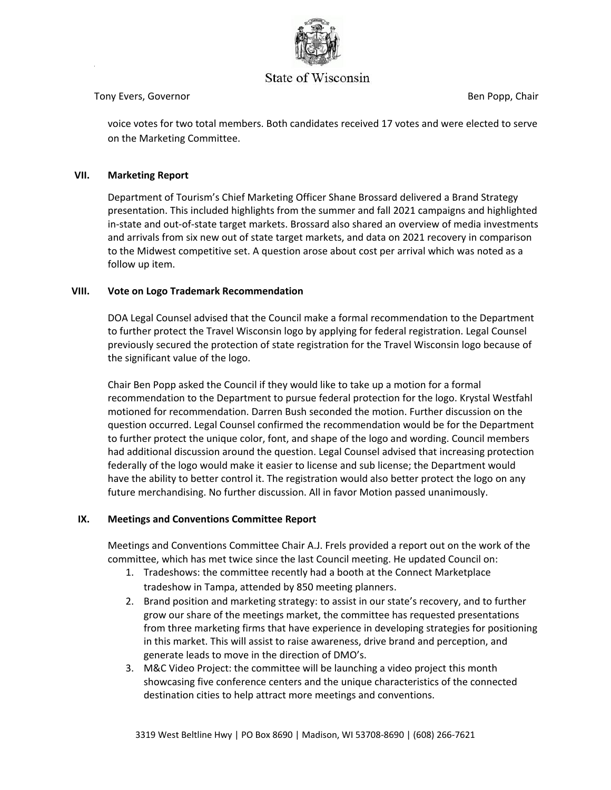

# $\mathbf{C}$ tony  $\mathbf{C}$

### Tony Evers, Governor **Ben Popp, Chair** Ben Popp, Chair Ben Popp, Chair

voice votes for two total members. Both candidates received 17 votes and were elected to serve on the Marketing Committee.

# **VII. Marketing Report**

Department of Tourism's Chief Marketing Officer Shane Brossard delivered a Brand Strategy presentation. This included highlights from the summer and fall 2021 campaigns and highlighted in-state and out-of-state target markets. Brossard also shared an overview of media investments and arrivals from six new out of state target markets, and data on 2021 recovery in comparison to the Midwest competitive set. A question arose about cost per arrival which was noted as a follow up item.

#### **VIII. Vote on Logo Trademark Recommendation**

DOA Legal Counsel advised that the Council make a formal recommendation to the Department to further protect the Travel Wisconsin logo by applying for federal registration. Legal Counsel previously secured the protection of state registration for the Travel Wisconsin logo because of the significant value of the logo.

Chair Ben Popp asked the Council if they would like to take up a motion for a formal recommendation to the Department to pursue federal protection for the logo. Krystal Westfahl motioned for recommendation. Darren Bush seconded the motion. Further discussion on the question occurred. Legal Counsel confirmed the recommendation would be for the Department to further protect the unique color, font, and shape of the logo and wording. Council members had additional discussion around the question. Legal Counsel advised that increasing protection federally of the logo would make it easier to license and sub license; the Department would have the ability to better control it. The registration would also better protect the logo on any future merchandising. No further discussion. All in favor Motion passed unanimously.

# **IX. Meetings and Conventions Committee Report**

Meetings and Conventions Committee Chair A.J. Frels provided a report out on the work of the committee, which has met twice since the last Council meeting. He updated Council on:

- 1. Tradeshows: the committee recently had a booth at the Connect Marketplace tradeshow in Tampa, attended by 850 meeting planners.
- 2. Brand position and marketing strategy: to assist in our state's recovery, and to further grow our share of the meetings market, the committee has requested presentations from three marketing firms that have experience in developing strategies for positioning in this market. This will assist to raise awareness, drive brand and perception, and generate leads to move in the direction of DMO's.
- 3. M&C Video Project: the committee will be launching a video project this month showcasing five conference centers and the unique characteristics of the connected destination cities to help attract more meetings and conventions.